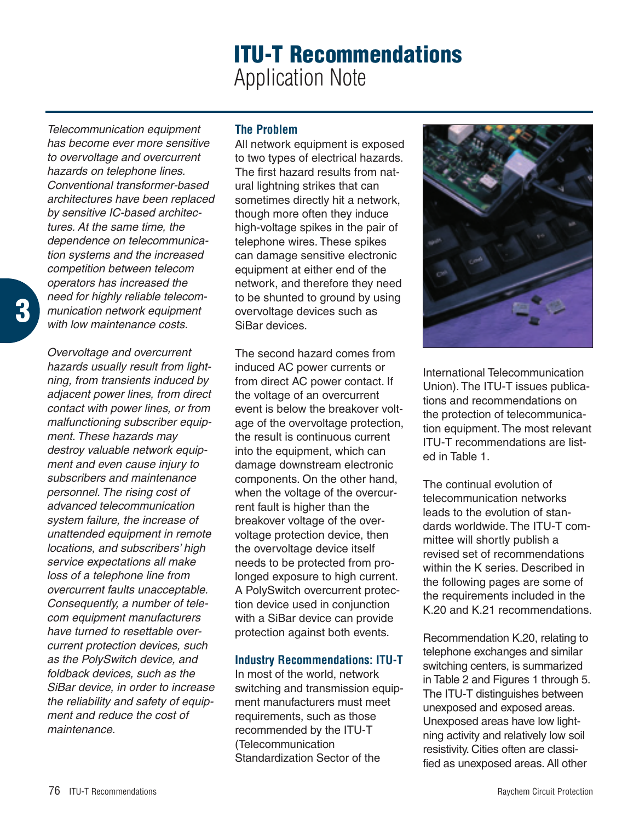# **ITU-T Recommendations** Application Note

*Telecommunication equipment has become ever more sensitive to overvoltage and overcurrent hazards on telephone lines. Conventional transformer-based architectures have been replaced by sensitive IC-based architectures. At the same time, the dependence on telecommunication systems and the increased competition between telecom operators has increased the need for highly reliable telecommunication network equipment with low maintenance costs.*

*Overvoltage and overcurrent hazards usually result from lightning, from transients induced by adjacent power lines, from direct contact with power lines, or from malfunctioning subscriber equipment. These hazards may destroy valuable network equipment and even cause injury to subscribers and maintenance personnel. The rising cost of advanced telecommunication system failure, the increase of unattended equipment in remote locations, and subscribers' high service expectations all make loss of a telephone line from overcurrent faults unacceptable. Consequently, a number of telecom equipment manufacturers have turned to resettable overcurrent protection devices, such as the PolySwitch device, and foldback devices, such as the SiBar device, in order to increase the reliability and safety of equipment and reduce the cost of maintenance.*

## **The Problem**

All network equipment is exposed to two types of electrical hazards. The first hazard results from natural lightning strikes that can sometimes directly hit a network, though more often they induce high-voltage spikes in the pair of telephone wires. These spikes can damage sensitive electronic equipment at either end of the network, and therefore they need to be shunted to ground by using overvoltage devices such as SiBar devices.

The second hazard comes from induced AC power currents or from direct AC power contact. If the voltage of an overcurrent event is below the breakover voltage of the overvoltage protection, the result is continuous current into the equipment, which can damage downstream electronic components. On the other hand, when the voltage of the overcurrent fault is higher than the breakover voltage of the overvoltage protection device, then the overvoltage device itself needs to be protected from prolonged exposure to high current. A PolySwitch overcurrent protection device used in conjunction with a SiBar device can provide protection against both events.

## **Industry Recommendations: ITU-T**

In most of the world, network switching and transmission equipment manufacturers must meet requirements, such as those recommended by the ITU-T (Telecommunication Standardization Sector of the



International Telecommunication Union). The ITU-T issues publications and recommendations on the protection of telecommunication equipment. The most relevant ITU-T recommendations are listed in Table 1.

The continual evolution of telecommunication networks leads to the evolution of standards worldwide. The ITU-T committee will shortly publish a revised set of recommendations within the K series. Described in the following pages are some of the requirements included in the K.20 and K.21 recommendations.

Recommendation K.20, relating to telephone exchanges and similar switching centers, is summarized in Table 2 and Figures 1 through 5. The ITU-T distinguishes between unexposed and exposed areas. Unexposed areas have low lightning activity and relatively low soil resistivity. Cities often are classified as unexposed areas. All other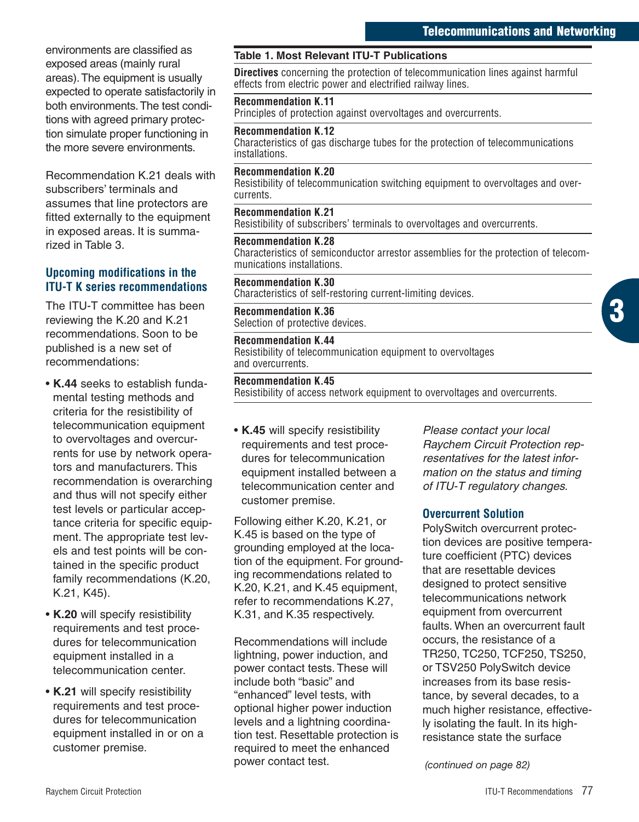environments are classified as exposed areas (mainly rural areas).The equipment is usually expected to operate satisfactorily in both environments.The test conditions with agreed primary protection simulate proper functioning in the more severe environments.

Recommendation K.21 deals with subscribers' terminals and assumes that line protectors are fitted externally to the equipment in exposed areas. It is summarized in Table 3.

## **Upcoming modifications in the ITU-T K series recommendations**

The ITU-T committee has been reviewing the K.20 and K.21 recommendations. Soon to be published is a new set of recommendations:

- **K.44** seeks to establish fundamental testing methods and criteria for the resistibility of telecommunication equipment to overvoltages and overcurrents for use by network operators and manufacturers. This recommendation is overarching and thus will not specify either test levels or particular acceptance criteria for specific equipment. The appropriate test levels and test points will be contained in the specific product family recommendations (K.20, K.21, K45).
- **K.20** will specify resistibility requirements and test procedures for telecommunication equipment installed in a telecommunication center.
- **K.21** will specify resistibility requirements and test procedures for telecommunication equipment installed in or on a customer premise.

#### **Table 1. Most Relevant ITU-T Publications**

**Directives** concerning the protection of telecommunication lines against harmful effects from electric power and electrified railway lines.

#### **Recommendation K.11**

Principles of protection against overvoltages and overcurrents.

#### **Recommendation K.12**

Characteristics of gas discharge tubes for the protection of telecommunications installations.

#### **Recommendation K.20**

Resistibility of telecommunication switching equipment to overvoltages and overcurrents.

#### **Recommendation K.21**

Resistibility of subscribers' terminals to overvoltages and overcurrents.

#### **Recommendation K.28**

Characteristics of semiconductor arrestor assemblies for the protection of telecommunications installations.

**Recommendation K.30** Characteristics of self-restoring current-limiting devices.

**Recommendation K.36** Selection of protective devices.

#### **Recommendation K.44**

Resistibility of telecommunication equipment to overvoltages and overcurrents.

#### **Recommendation K.45**

Resistibility of access network equipment to overvoltages and overcurrents.

• **K.45** will specify resistibility requirements and test procedures for telecommunication equipment installed between a telecommunication center and customer premise.

Following either K.20, K.21, or K.45 is based on the type of grounding employed at the location of the equipment. For grounding recommendations related to K.20, K.21, and K.45 equipment, refer to recommendations K.27, K.31, and K.35 respectively.

Recommendations will include lightning, power induction, and power contact tests. These will include both "basic" and "enhanced" level tests, with optional higher power induction levels and a lightning coordination test. Resettable protection is required to meet the enhanced power contact test.

*Please contact your local Raychem Circuit Protection representatives for the latest information on the status and timing of ITU-T regulatory changes.*

#### **Overcurrent Solution**

PolySwitch overcurrent protection devices are positive temperature coefficient (PTC) devices that are resettable devices designed to protect sensitive telecommunications network equipment from overcurrent faults. When an overcurrent fault occurs, the resistance of a TR250, TC250, TCF250, TS250, or TSV250 PolySwitch device increases from its base resistance, by several decades, to a much higher resistance, effectively isolating the fault. In its highresistance state the surface

*(continued on page 82)*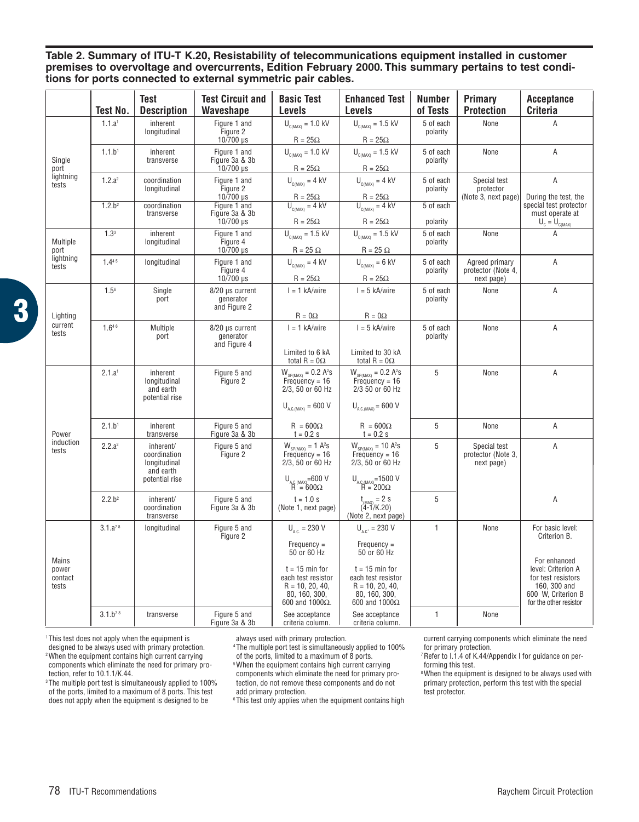**Table 2. Summary of ITU-T K.20, Resistability of telecommunications equipment installed in customer premises to overvoltage and overcurrents, Edition February 2000. This summary pertains to test conditions for ports connected to external symmetric pair cables.**

|                                        | Test No.            | Test<br><b>Description</b>                                               | <b>Test Circuit and</b><br>Waveshape               | <b>Basic Test</b><br>Levels                                                                                                                                             | <b>Enhanced Test</b><br>Levels                                                                                                                               | <b>Number</b><br>of Tests | Primary<br><b>Protection</b>                       | <b>Acceptance</b><br><b>Criteria</b>                                                                                                                         |
|----------------------------------------|---------------------|--------------------------------------------------------------------------|----------------------------------------------------|-------------------------------------------------------------------------------------------------------------------------------------------------------------------------|--------------------------------------------------------------------------------------------------------------------------------------------------------------|---------------------------|----------------------------------------------------|--------------------------------------------------------------------------------------------------------------------------------------------------------------|
| Single<br>port<br>lightning<br>tests   | 1.1.a <sup>1</sup>  | inherent<br>longitudinal                                                 | Figure 1 and<br>Figure 2<br>10/700 µs              | $U_{\text{CIMAX}} = 1.0 \text{ kV}$<br>$R = 25\Omega$                                                                                                                   | $U_{C(MAX)} = 1.5$ kV<br>$R = 25\Omega$                                                                                                                      | 5 of each<br>polarity     | None                                               | A                                                                                                                                                            |
|                                        | 1.1.b <sup>1</sup>  | inherent<br>transverse                                                   | Figure 1 and<br>Figure 3a & 3b<br>$10/700 \,\mu s$ | $U_{\text{CMAX}} = 1.0 \text{ kV}$<br>$R = 25\Omega$                                                                                                                    | $U_{\text{c,max}} = 1.5 \text{ kV}$<br>$R = 25\Omega$                                                                                                        | 5 of each<br>polarity     | None                                               | A                                                                                                                                                            |
|                                        | 1.2.a <sup>2</sup>  | coordination<br>longitudinal                                             | Figure 1 and<br>Figure 2<br>10/700 µs              | $U_{C(MAX)} = 4$ kV<br>$R = 25\Omega$                                                                                                                                   | $U_{c(MAX)} = 4$ kV<br>$R = 25\Omega$                                                                                                                        | 5 of each<br>polarity     | Special test<br>protector<br>(Note 3, next page)   | Α<br>During the test, the                                                                                                                                    |
|                                        | 1.2.b <sup>2</sup>  | coordination<br>transverse                                               | Figure 1 and<br>Figure 3a & 3b<br>10/700 µs        | $U_{C(MAX)} = 4$ kV<br>$R = 25\Omega$                                                                                                                                   | $\overline{U_{C(MAX)}} = 4$ kV<br>$R = 25\Omega$                                                                                                             | 5 of each<br>polarity     |                                                    | special test protector<br>must operate at<br>$\overline{U}_c = U_{c(MAX)}$                                                                                   |
| Multiple<br>port<br>lightning<br>tests | 1.3 <sup>3</sup>    | inherent<br>longitudinal                                                 | Figure 1 and<br>Figure 4<br>10/700 µs              | $U_{\text{C(MAX)}} = 1.5 \text{ kV}$<br>$R = 25 \Omega$                                                                                                                 | $U_{\text{CMAX}} = 1.5 \text{ kV}$<br>$R = 25 \Omega$                                                                                                        | 5 of each<br>polarity     | None                                               | A                                                                                                                                                            |
|                                        | 1.445               | longitudinal                                                             | Figure 1 and<br>Figure 4<br>10/700 µs              | $U_{\text{CMAX}} = 4$ kV<br>$R = 25\Omega$                                                                                                                              | $U_{\text{CMAN}} = 6$ kV<br>$R = 25\Omega$                                                                                                                   | 5 of each<br>polarity     | Agreed primary<br>protector (Note 4,<br>next page) | A                                                                                                                                                            |
| Lighting<br>current<br>tests           | $1.5^{6}$           | Single<br>port                                                           | 8/20 µs current<br>generator<br>and Figure 2       | $I = 1$ kA/wire<br>$R = 0\Omega$                                                                                                                                        | $I = 5$ kA/wire<br>$R = 0\Omega$                                                                                                                             | 5 of each<br>polarity     | None                                               | Α                                                                                                                                                            |
|                                        | 1.646               | Multiple<br>port                                                         | 8/20 µs current<br>generator<br>and Figure 4       | $I = 1$ kA/wire<br>Limited to 6 kA                                                                                                                                      | $I = 5$ kA/wire<br>Limited to 30 kA                                                                                                                          | 5 of each<br>polarity     | None                                               | A                                                                                                                                                            |
| Power<br>induction<br>tests            | 2.1.a <sup>1</sup>  | inherent<br>longitudinal<br>and earth<br>potential rise                  | Figure 5 and<br>Figure 2                           | total R = $0\Omega$<br>$W_{SP(MAX)} = 0.2 A2S$<br>Frequency = 16<br>2/3, 50 or 60 Hz<br>$U_{\text{AC (MAX)}}$ = 600 V                                                   | total R = $0\Omega$<br>$W_{SP(MAX)} = 0.2 A^2s$<br>Frequency = 16<br>2/3 50 or 60 Hz<br>$U_{A.C.(MAX)} = 600 V$                                              | 5                         | None                                               | Α                                                                                                                                                            |
|                                        | 2.1.b <sup>1</sup>  | inherent<br>transverse                                                   | Figure 5 and<br>Figure 3a & 3b                     | $R = 600\Omega$<br>$t = 0.2 s$                                                                                                                                          | $R = 600\Omega$<br>$t = 0.2 s$                                                                                                                               | 5                         | None                                               | A                                                                                                                                                            |
|                                        | 2.2.a <sup>2</sup>  | inherent/<br>coordination<br>longitudinal<br>and earth<br>potential rise | Figure 5 and<br>Figure 2                           | $W_{SP(MAX)} = 1 A2S$<br>Frequency = 16<br>2/3, 50 or 60 Hz<br>$\begin{array}{c} U_{\text{A.C.}(MAX)} = 600 \text{ V} \\ R = 600 \Omega \end{array}$                    | $W_{SP(MAX)} = 10 A2S$<br>Frequency = 16<br>2/3, 50 or 60 Hz<br>$U_{AC(MAX)} = 1500 V$<br>R = 200 $\Omega$                                                   | 5                         | Special test<br>protector (Note 3,<br>next page)   | Α                                                                                                                                                            |
|                                        | 2.2.b <sup>2</sup>  | inherent/<br>coordination<br>transverse                                  | Figure 5 and<br>Figure 3a & 3b                     | $t = 1.0 s$<br>(Note 1, next page)                                                                                                                                      | $t_{\text{MAX}} = 2$ S<br>(4-1/K.20)<br>(Note 2, next page)                                                                                                  | 5                         |                                                    | Α                                                                                                                                                            |
| Mains<br>power<br>contact<br>tests     | 3.1.a <sup>78</sup> | longitudinal                                                             | Figure 5 and<br>Figure 2                           | $U_{\text{acc}}$ = 230 V<br>$F$ requenc $v =$<br>50 or 60 Hz<br>$t = 15$ min for<br>each test resistor<br>$R = 10, 20, 40,$<br>80, 160, 300,<br>600 and 1000 $\Omega$ . | $U_{AC}$ = 230 V<br>$F$ requenc $v =$<br>50 or 60 Hz<br>$t = 15$ min for<br>each test resistor<br>$R = 10, 20, 40,$<br>80, 160, 300,<br>600 and $1000\Omega$ | $\mathbf{1}$              | None                                               | For basic level:<br>Criterion B.<br>For enhanced<br>level: Criterion A<br>for test resistors<br>160, 300 and<br>600 W, Criterion B<br>for the other resistor |
|                                        | $3.1.b^{78}$        | transverse                                                               | Figure 5 and<br>Figure 3a & 3b                     | See acceptance<br>criteria column.                                                                                                                                      | See acceptance<br>criteria column.                                                                                                                           | 1                         | None                                               |                                                                                                                                                              |

**3**

1 This test does not apply when the equipment is designed to be always used with primary protection.

2 When the equipment contains high current carrying components which eliminate the need for primary protection, refer to 10.1.1/K.44.

<sup>3</sup> The multiple port test is simultaneously applied to 100% of the ports, limited to a maximum of 8 ports. This test does not apply when the equipment is designed to be

always used with primary protection.

4 The multiple port test is simultaneously applied to 100%

of the ports, limited to a maximum of 8 ports. 5When the equipment contains high current carrying components which eliminate the need for primary protection, do not remove these components and do not add primary protection.

6 This test only applies when the equipment contains high

current carrying components which eliminate the need for primary protection.

7 Refer to I.1.4 of K.44/Appendix I for guidance on performing this test.

<sup>8</sup> When the equipment is designed to be always used with primary protection, perform this test with the special test protector.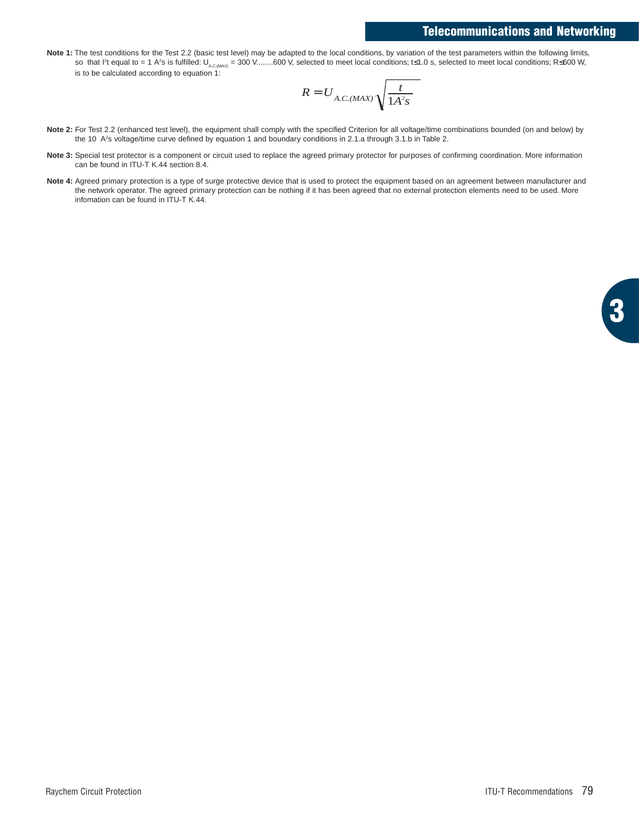## **Telecommunications and Networking**

Note 1: The test conditions for the Test 2.2 (basic test level) may be adapted to the local conditions, by variation of the test parameters within the following limits, so that I<sup>2</sup>t equal to = 1 A<sup>2</sup>s is fulfilled: U<sub>A.C.MAX)</sub> = 300 V........600 V, selected to meet local conditions; t≤1.0 s, selected to meet local conditions; R≤600 W, is to be calculated according to equation 1:

$$
R = U_{A.C.(MAX)} \sqrt{\frac{t}{1A^2s}}
$$

- **Note 2:** For Test 2.2 (enhanced test level), the equipment shall comply with the specified Criterion for all voltage/time combinations bounded (on and below) by the 10 A<sup>2</sup>s voltage/time curve defined by equation 1 and boundary conditions in 2.1.a through 3.1.b in Table 2.
- Note 3: Special test protector is a component or circuit used to replace the agreed primary protector for purposes of confirming coordination. More information can be found in ITU-T K.44 section 8.4.
- Note 4: Agreed primary protection is a type of surge protective device that is used to protect the equipment based on an agreement between manufacturer and the network operator. The agreed primary protection can be nothing if it has been agreed that no external protection elements need to be used. More infomation can be found in ITU-T K.44.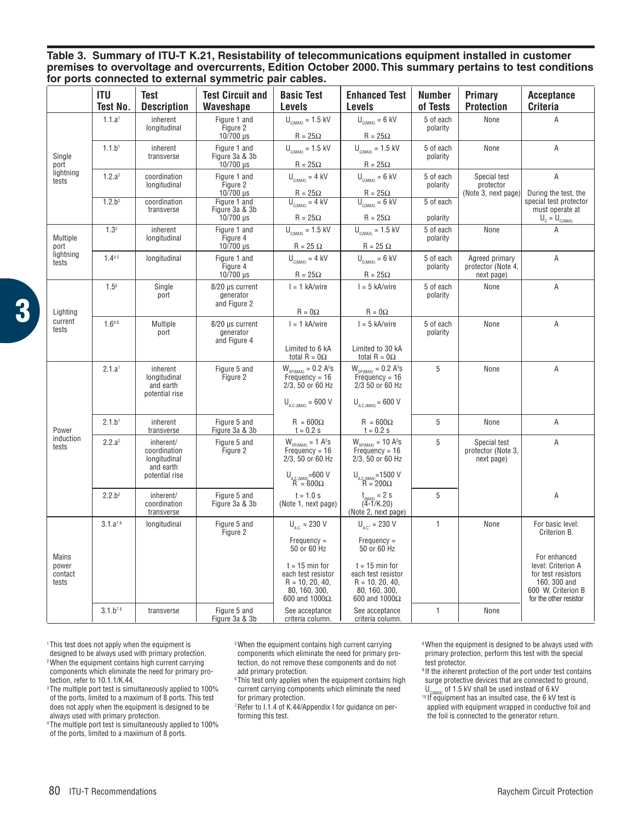**Table 3. Summary of ITU-T K.21, Resistability of telecommunications equipment installed in customer premises to overvoltage and overcurrents, Edition October 2000. This summary pertains to test conditions for ports connected to external symmetric pair cables.**

|                                        | a to oxtornar oymmothio pair oabico: |                                                         |                                                          |                                                                                                         |                                                                                               |                       |                                                    |                                                                                                          |
|----------------------------------------|--------------------------------------|---------------------------------------------------------|----------------------------------------------------------|---------------------------------------------------------------------------------------------------------|-----------------------------------------------------------------------------------------------|-----------------------|----------------------------------------------------|----------------------------------------------------------------------------------------------------------|
|                                        | ITU<br>Test No.                      | <b>Test</b><br><b>Description</b>                       | <b>Test Circuit and</b><br>Waveshape                     | <b>Basic Test</b><br>Levels                                                                             | <b>Enhanced Test</b><br>Levels                                                                | Number<br>of Tests    | Primary<br><b>Protection</b>                       | <b>Acceptance</b><br><b>Criteria</b>                                                                     |
| Single<br>port<br>lightning<br>tests   | 1.1.a <sup>1</sup>                   | inherent<br>longitudinal                                | Figure 1 and<br>Figure 2                                 | $U_{\text{CIMAX}} = 1.5 \text{ kV}$                                                                     | $U_{c(MAX)} = 6$ kV                                                                           | 5 of each<br>polarity | None                                               | A                                                                                                        |
|                                        | 1.1.b <sup>1</sup>                   | inherent<br>transverse                                  | 10/700 µs<br>Figure 1 and<br>Figure 3a & 3b<br>10/700 µs | $R = 25\Omega$<br>$U_{C(MAX)} = 1.5$ kV<br>$R = 25\Omega$                                               | $R = 25\Omega$<br>$U_{\text{C(MAX)}} = 1.5 \text{ kV}$<br>$R = 25\Omega$                      | 5 of each<br>polarity | None                                               | Α                                                                                                        |
|                                        | 1.2.a <sup>2</sup>                   | coordination<br>longitudinal                            | Figure 1 and<br>Figure 2<br>$10/700 \,\mu s$             | $U_{\text{C(MAX)}} = 4$ kV<br>$R = 25\Omega$<br>U <sub>C(MAX)</sub> = 4 kV                              | $U_{\text{C(MAX)}} = 6$ kV<br>$R = 25\Omega$<br>$U_{\text{CIMAX}} = 6 \text{ kV}$             | 5 of each<br>polarity | Special test<br>protector<br>(Note 3, next page)   | A<br>During the test, the                                                                                |
|                                        | 1.2.b <sup>2</sup>                   | coordination<br>transverse                              | Figure 1 and<br>Figure 3a & 3b<br>10/700 µs              | $R = 25\Omega$                                                                                          | $R = 25\Omega$                                                                                | 5 of each<br>polarity |                                                    | special test protector<br>must operate at<br>$\overline{U}_c = U_{c(MAX)}$                               |
| Multiple<br>port<br>lightning<br>tests | 1.3 <sup>3</sup>                     | inherent<br>longitudinal                                | Figure 1 and<br>Figure 4<br>10/700 µs                    | $U_{\text{CIMAX}} = 1.5 \text{ kV}$<br>$R = 25 \Omega$                                                  | $U_{\text{C(MAX)}} = 1.5 \text{ kV}$<br>$R = 25 \Omega$                                       | 5 of each<br>polarity | None                                               | A                                                                                                        |
|                                        | 1.445                                | longitudinal                                            | Figure 1 and<br>Figure 4<br>10/700 µs                    | $U_{\text{CMAX}} = 4$ kV<br>$R = 25\Omega$                                                              | $U_{_{C(MAX)}} = 6$ kV<br>$R = 25\Omega$                                                      | 5 of each<br>polarity | Agreed primary<br>protector (Note 4,<br>next page) | Α                                                                                                        |
| Lighting<br>current<br>tests           | $1.5^{6}$                            | Single<br>port                                          | 8/20 µs current<br>generator<br>and Figure 2             | $I = 1$ kA/wire<br>$R = 0\Omega$                                                                        | $I = 5$ kA/wire<br>$R = 0\Omega$                                                              | 5 of each<br>polarity | None                                               | Α                                                                                                        |
|                                        | 1.646                                | Multiple<br>port                                        | 8/20 µs current<br>generator<br>and Figure 4             | $I = 1$ kA/wire<br>Limited to 6 kA                                                                      | $I = 5$ kA/wire<br>Limited to 30 kA                                                           | 5 of each<br>polarity | None                                               | Α                                                                                                        |
|                                        |                                      |                                                         |                                                          | total R = $0\Omega$                                                                                     | total R = $0\Omega$                                                                           |                       |                                                    |                                                                                                          |
|                                        | 2.1.a <sup>1</sup>                   | inherent<br>longitudinal<br>and earth<br>potential rise | Figure 5 and<br>Figure 2                                 | $W_{SP(MAX)} = 0.2 A^2s$<br>Frequency = 16<br>2/3, 50 or 60 Hz<br>$U_{\text{AC} (MAX)} = 600 \text{ V}$ | $W_{SP(MAX)} = 0.2 A2S$<br>Frequency = 16<br>2/3 50 or 60 Hz<br>$U_{\text{AC (MAX)}}$ = 600 V | 5                     | None                                               | Α                                                                                                        |
|                                        |                                      |                                                         |                                                          |                                                                                                         |                                                                                               |                       |                                                    |                                                                                                          |
| Power                                  | 2.1.b <sup>1</sup>                   | inherent<br>transverse                                  | Figure 5 and<br>Figure 3a & 3b                           | $R = 600\Omega$<br>$t = 0.2 s$                                                                          | $R = 600\Omega$<br>$t = 0.2 s$                                                                | 5                     | None                                               | A                                                                                                        |
| induction<br>tests                     | 2.2.a <sup>2</sup>                   | inherent/<br>coordination<br>longitudinal<br>and earth  | Figure 5 and<br>Figure 2                                 | $W_{SP(MAX)} = 1 A^2s$<br>$Frequency = 16$<br>2/3, 50 or 60 Hz                                          | $W_{SP(MAX)} = 10 A2S$<br>Frequency = 16<br>2/3, 50 or 60 Hz                                  | 5                     | Special test<br>protector (Note 3,<br>next page)   | A                                                                                                        |
|                                        |                                      | potential rise                                          |                                                          | $U_{A.C.(MAX)} = 600 V$<br>R = 600 $\Omega$                                                             | $U_{A.C.(MAX)} = 1500 V$<br>R = 200 $\Omega$                                                  |                       |                                                    |                                                                                                          |
|                                        | 2.2.b <sup>2</sup>                   | inherent/<br>coordination<br>transverse                 | Figure 5 and<br>Figure 3a & 3b                           | $t = 1.0 s$<br>(Note 1, next page)                                                                      | $t_{(MAX)} = 2$ S<br>(4-1/K.20)<br>(Note 2, next page)                                        | 5                     |                                                    | Α                                                                                                        |
| Mains<br>power<br>contact<br>tests     | 3.1.a <sup>78</sup>                  | longitudinal                                            | Figure 5 and<br>Figure 2                                 | $U_{\text{ac}} = 230 \text{ V}$                                                                         | $U_{\text{acc}} = 230 \text{ V}$                                                              | 1                     | None                                               | For basic level:<br>Criterion B.                                                                         |
|                                        |                                      |                                                         |                                                          | $Frequency =$<br>50 or 60 Hz                                                                            | $Frequency =$<br>50 or 60 Hz                                                                  |                       |                                                    | For enhanced                                                                                             |
|                                        |                                      |                                                         |                                                          | $t = 15$ min for<br>each test resistor<br>$R = 10, 20, 40,$<br>80, 160, 300.<br>600 and 1000Ω.          | $t = 15$ min for<br>each test resistor<br>$R = 10, 20, 40,$<br>80, 160, 300.<br>600 and 1000Ω |                       |                                                    | level: Criterion A<br>for test resistors<br>160, 300 and<br>600 W. Criterion B<br>for the other resistor |
|                                        | $3.1.b^{78}$                         | transverse                                              | Figure 5 and<br>Figure 3a & 3b                           | See acceptance<br>criteria column.                                                                      | See acceptance<br>criteria column.                                                            | $\mathbf{1}$          | None                                               |                                                                                                          |

**3**

1 This test does not apply when the equipment is designed to be always used with primary protection. 2 When the equipment contains high current carrying components which eliminate the need for primary protection, refer to 10.1.1/K.44.

<sup>3</sup> The multiple port test is simultaneously applied to 100% of the ports, limited to a maximum of 8 ports. This test does not apply when the equipment is designed to be always used with primary protection.

4 The multiple port test is simultaneously applied to 100% of the ports, limited to a maximum of 8 ports.

5When the equipment contains high current carrying components which eliminate the need for primary protection, do not remove these components and do not add primary protection.

6 This test only applies when the equipment contains high current carrying components which eliminate the need for primary protection.

7 Refer to I.1.4 of K.44/Appendix I for guidance on performing this test.

8 When the equipment is designed to be always used with primary protection, perform this test with the special test protector.

9 If the inherent protection of the port under test contains surge protective devices that are connected to ground,<br> $U_{\text{CMAN}}$  of 1.5 kV shall be used instead of 6 kV

 $10$  If equipment has an insulted case, the 6 kV test is applied with equipment wrapped in conductive foil and the foil is connected to the generator return.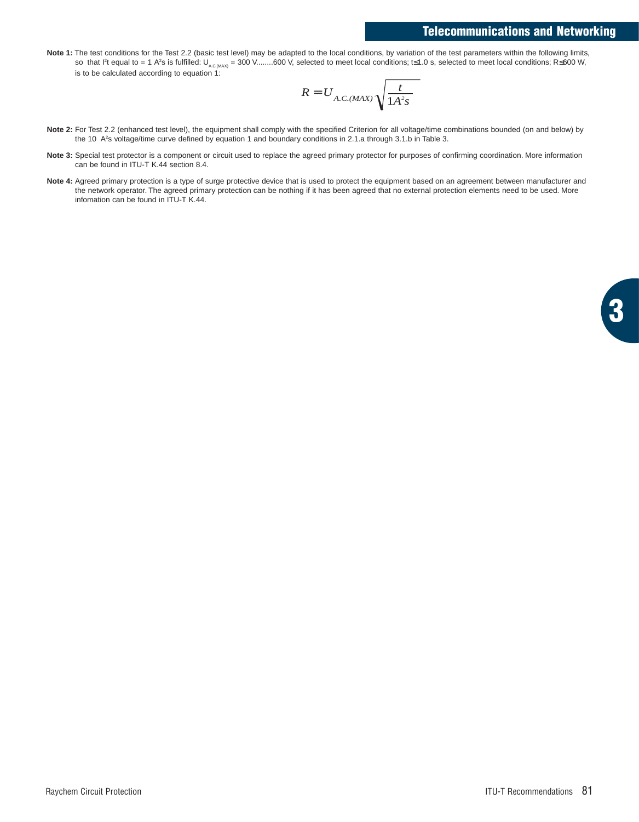## **Telecommunications and Networking**

Note 1: The test conditions for the Test 2.2 (basic test level) may be adapted to the local conditions, by variation of the test parameters within the following limits, so that I<sup>2</sup>t equal to = 1 A<sup>2</sup>s is fulfilled: U<sub>A.C.MAX)</sub> = 300 V........600 V, selected to meet local conditions; t≤1.0 s, selected to meet local conditions; R≤600 W, is to be calculated according to equation 1:

$$
R = U_{A.C.(MAX)} \sqrt{\frac{t}{1A^2s}}
$$

- **Note 2:** For Test 2.2 (enhanced test level), the equipment shall comply with the specified Criterion for all voltage/time combinations bounded (on and below) by the 10 A2 s voltage/time curve defined by equation 1 and boundary conditions in 2.1.a through 3.1.b in Table 3.
- Note 3: Special test protector is a component or circuit used to replace the agreed primary protector for purposes of confirming coordination. More information can be found in ITU-T K.44 section 8.4.
- Note 4: Agreed primary protection is a type of surge protective device that is used to protect the equipment based on an agreement between manufacturer and the network operator. The agreed primary protection can be nothing if it has been agreed that no external protection elements need to be used. More infomation can be found in ITU-T K.44.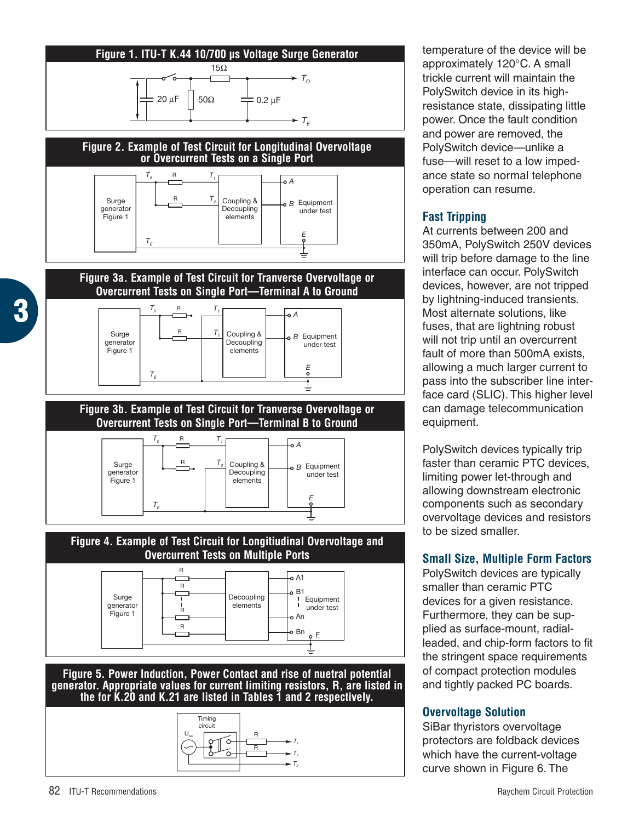

temperature of the device will be approximately 120°C. A small trickle current will maintain the PolySwitch device in its highresistance state, dissipating little power. Once the fault condition and power are removed, the PolySwitch device—unlike a fuse—will reset to a low impedance state so normal telephone operation can resume.

## **Fast Tripping**

At currents between 200 and 350mA, PolySwitch 250V devices will trip before damage to the line interface can occur. PolySwitch devices, however, are not tripped by lightning-induced transients. Most alternate solutions, like fuses, that are lightning robust will not trip until an overcurrent fault of more than 500mA exists, allowing a much larger current to pass into the subscriber line interface card (SLIC). This higher level can damage telecommunication equipment.

PolySwitch devices typically trip faster than ceramic PTC devices, limiting power let-through and allowing downstream electronic components such as secondary overvoltage devices and resistors to be sized smaller.

# **Small Size, Multiple Form Factors**

PolySwitch devices are typically smaller than ceramic PTC devices for a given resistance. Furthermore, they can be supplied as surface-mount, radialleaded, and chip-form factors to fit the stringent space requirements of compact protection modules and tightly packed PC boards.

# **Overvoltage Solution**

SiBar thyristors overvoltage protectors are foldback devices which have the current-voltage curve shown in Figure 6. The

**3**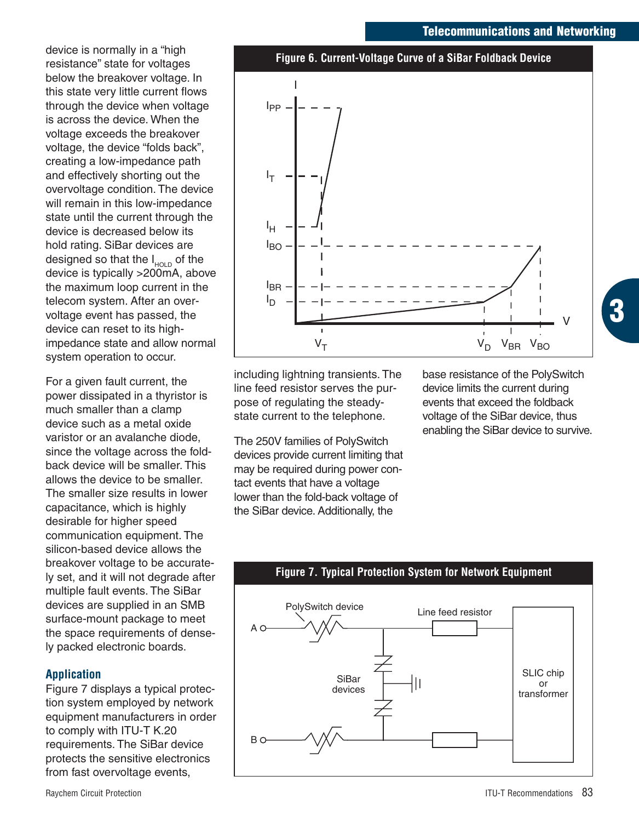#### **Telecommunications and Networking**

device is normally in a "high resistance" state for voltages below the breakover voltage. In this state very little current flows through the device when voltage is across the device. When the voltage exceeds the breakover voltage, the device "folds back", creating a low-impedance path and effectively shorting out the overvoltage condition. The device will remain in this low-impedance state until the current through the device is decreased below its hold rating. SiBar devices are designed so that the  $I_{HOLD}$  of the device is typically >200mA, above the maximum loop current in the telecom system. After an overvoltage event has passed, the device can reset to its highimpedance state and allow normal system operation to occur.

For a given fault current, the power dissipated in a thyristor is much smaller than a clamp device such as a metal oxide varistor or an avalanche diode, since the voltage across the foldback device will be smaller. This allows the device to be smaller. The smaller size results in lower capacitance, which is highly desirable for higher speed communication equipment. The silicon-based device allows the breakover voltage to be accurately set, and it will not degrade after multiple fault events. The SiBar devices are supplied in an SMB surface-mount package to meet the space requirements of densely packed electronic boards.

### **Application**

Figure 7 displays a typical protection system employed by network equipment manufacturers in order to comply with ITU-T K.20 requirements. The SiBar device protects the sensitive electronics from fast overvoltage events,



including lightning transients. The line feed resistor serves the purpose of regulating the steadystate current to the telephone.

The 250V families of PolySwitch devices provide current limiting that may be required during power contact events that have a voltage lower than the fold-back voltage of the SiBar device. Additionally, the

base resistance of the PolySwitch device limits the current during events that exceed the foldback voltage of the SiBar device, thus enabling the SiBar device to survive. **3**



## **Figure 7. Typical Protection System for Network Equipment**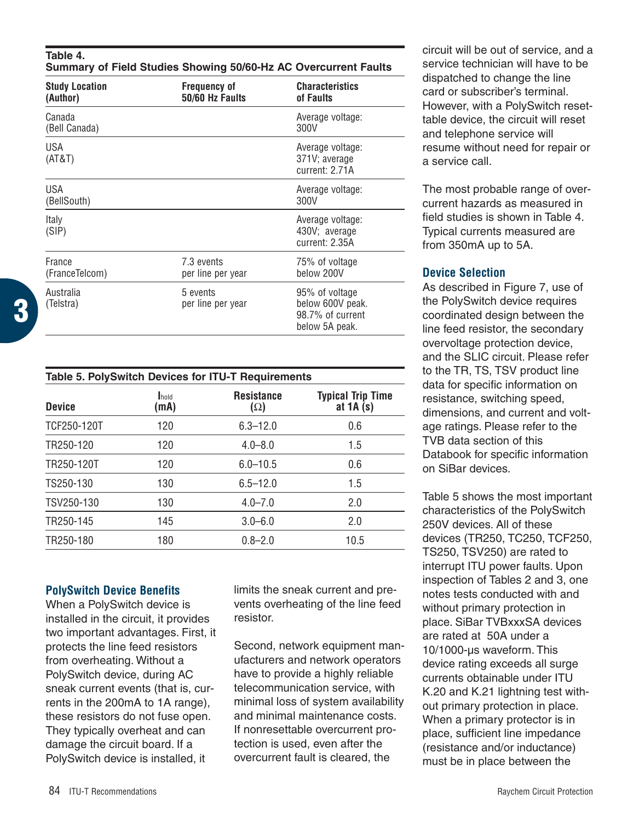| Table 4.<br>Summary of Field Studies Showing 50/60-Hz AC Overcurrent Faults |                                        |                                     |  |  |
|-----------------------------------------------------------------------------|----------------------------------------|-------------------------------------|--|--|
| <b>Study Location</b><br>(Author)                                           | <b>Frequency of</b><br>50/60 Hz Faults | <b>Characteristics</b><br>of Faults |  |  |
| Canada<br>(Bell Canada)                                                     |                                        | Average voltage:<br>300V            |  |  |
| 11 C A                                                                      |                                        | Avaraga valtage                     |  |  |

| USA<br>(AT&T)             |                                 | Average voltage:<br>371V; average<br>current: 2.71A                      |
|---------------------------|---------------------------------|--------------------------------------------------------------------------|
| <b>USA</b><br>(BellSouth) |                                 | Average voltage:<br>300V                                                 |
| Italy<br>(SIP)            |                                 | Average voltage:<br>430V; average<br>current: 2.35A                      |
| France<br>(FranceTelcom)  | 7.3 events<br>per line per year | 75% of voltage<br>below 200V                                             |
| Australia<br>(Telstra)    | 5 events<br>per line per year   | 95% of voltage<br>below 600V peak.<br>98.7% of current<br>below 5A peak. |

| Table 5. PolySwitch Devices for ITU-T Requirements |               |                                 |                                        |  |
|----------------------------------------------------|---------------|---------------------------------|----------------------------------------|--|
| <b>Device</b>                                      | Ihold<br>(mA) | <b>Resistance</b><br>$(\Omega)$ | <b>Typical Trip Time</b><br>at $1A(s)$ |  |
| TCF250-120T                                        | 120           | $6.3 - 12.0$                    | 0.6                                    |  |
| TR250-120                                          | 120           | $4.0 - 8.0$                     | 1.5                                    |  |
| TR250-120T                                         | 120           | $6.0 - 10.5$                    | 0.6                                    |  |
| TS250-130                                          | 130           | $6.5 - 12.0$                    | 1.5                                    |  |
| TSV250-130                                         | 130           | $4.0 - 7.0$                     | 2.0                                    |  |
| TR250-145                                          | 145           | $3.0 - 6.0$                     | 2.0                                    |  |
| TR250-180                                          | 180           | $0.8 - 2.0$                     | 10.5                                   |  |

### **PolySwitch Device Benefits**

When a PolySwitch device is installed in the circuit, it provides two important advantages. First, it protects the line feed resistors from overheating. Without a PolySwitch device, during AC sneak current events (that is, currents in the 200mA to 1A range), these resistors do not fuse open. They typically overheat and can damage the circuit board. If a PolySwitch device is installed, it

limits the sneak current and prevents overheating of the line feed resistor.

Second, network equipment manufacturers and network operators have to provide a highly reliable telecommunication service, with minimal loss of system availability and minimal maintenance costs. If nonresettable overcurrent protection is used, even after the overcurrent fault is cleared, the

circuit will be out of service, and a service technician will have to be dispatched to change the line card or subscriber's terminal. However, with a PolySwitch resettable device, the circuit will reset and telephone service will resume without need for repair or a service call.

The most probable range of overcurrent hazards as measured in field studies is shown in Table 4. Typical currents measured are from 350mA up to 5A.

## **Device Selection**

As described in Figure 7, use of the PolySwitch device requires coordinated design between the line feed resistor, the secondary overvoltage protection device, and the SLIC circuit. Please refer to the TR, TS, TSV product line data for specific information on resistance, switching speed, dimensions, and current and voltage ratings. Please refer to the TVB data section of this Databook for specific information on SiBar devices.

Table 5 shows the most important characteristics of the PolySwitch 250V devices. All of these devices (TR250, TC250, TCF250, TS250, TSV250) are rated to interrupt ITU power faults. Upon inspection of Tables 2 and 3, one notes tests conducted with and without primary protection in place. SiBar TVBxxxSA devices are rated at 50A under a 10/1000-µs waveform. This device rating exceeds all surge currents obtainable under ITU K.20 and K.21 lightning test without primary protection in place. When a primary protector is in place, sufficient line impedance (resistance and/or inductance) must be in place between the